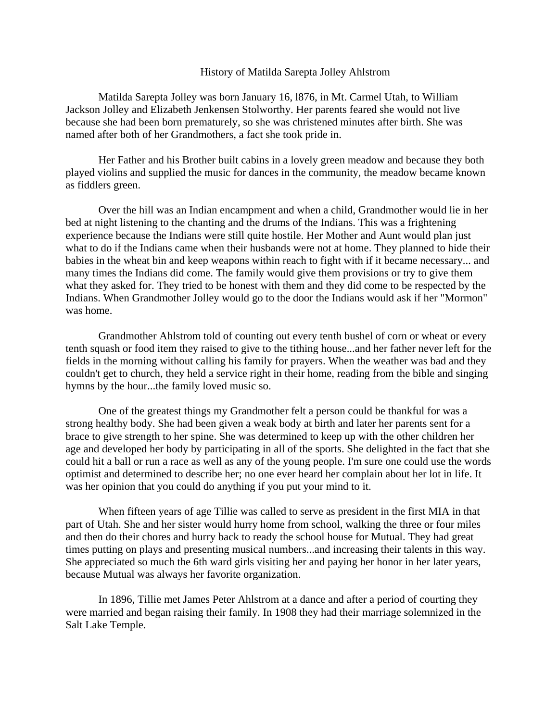## History of Matilda Sarepta Jolley Ahlstrom

Matilda Sarepta Jolley was born January 16, l876, in Mt. Carmel Utah, to William Jackson Jolley and Elizabeth Jenkensen Stolworthy. Her parents feared she would not live because she had been born prematurely, so she was christened minutes after birth. She was named after both of her Grandmothers, a fact she took pride in.

Her Father and his Brother built cabins in a lovely green meadow and because they both played violins and supplied the music for dances in the community, the meadow became known as fiddlers green.

Over the hill was an Indian encampment and when a child, Grandmother would lie in her bed at night listening to the chanting and the drums of the Indians. This was a frightening experience because the Indians were still quite hostile. Her Mother and Aunt would plan just what to do if the Indians came when their husbands were not at home. They planned to hide their babies in the wheat bin and keep weapons within reach to fight with if it became necessary... and many times the Indians did come. The family would give them provisions or try to give them what they asked for. They tried to be honest with them and they did come to be respected by the Indians. When Grandmother Jolley would go to the door the Indians would ask if her "Mormon" was home.

Grandmother Ahlstrom told of counting out every tenth bushel of corn or wheat or every tenth squash or food item they raised to give to the tithing house...and her father never left for the fields in the morning without calling his family for prayers. When the weather was bad and they couldn't get to church, they held a service right in their home, reading from the bible and singing hymns by the hour...the family loved music so.

One of the greatest things my Grandmother felt a person could be thankful for was a strong healthy body. She had been given a weak body at birth and later her parents sent for a brace to give strength to her spine. She was determined to keep up with the other children her age and developed her body by participating in all of the sports. She delighted in the fact that she could hit a ball or run a race as well as any of the young people. I'm sure one could use the words optimist and determined to describe her; no one ever heard her complain about her lot in life. It was her opinion that you could do anything if you put your mind to it.

When fifteen years of age Tillie was called to serve as president in the first MIA in that part of Utah. She and her sister would hurry home from school, walking the three or four miles and then do their chores and hurry back to ready the school house for Mutual. They had great times putting on plays and presenting musical numbers...and increasing their talents in this way. She appreciated so much the 6th ward girls visiting her and paying her honor in her later years, because Mutual was always her favorite organization.

In 1896, Tillie met James Peter Ahlstrom at a dance and after a period of courting they were married and began raising their family. In 1908 they had their marriage solemnized in the Salt Lake Temple.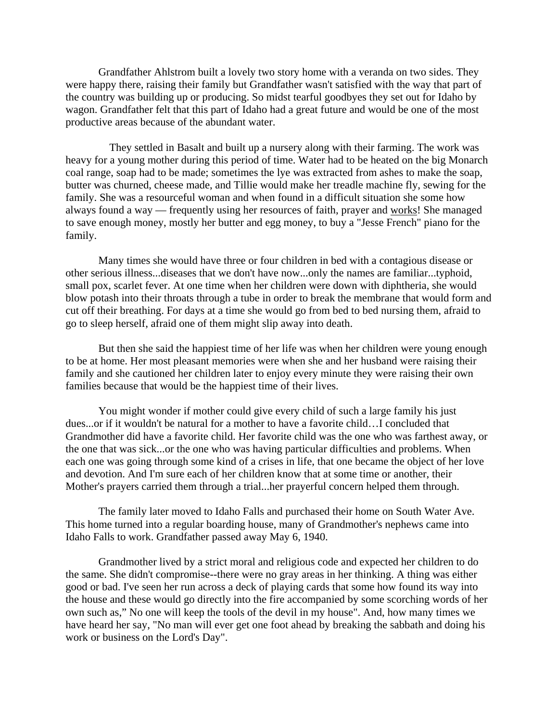Grandfather Ahlstrom built a lovely two story home with a veranda on two sides. They were happy there, raising their family but Grandfather wasn't satisfied with the way that part of the country was building up or producing. So midst tearful goodbyes they set out for Idaho by wagon. Grandfather felt that this part of Idaho had a great future and would be one of the most productive areas because of the abundant water.

 They settled in Basalt and built up a nursery along with their farming. The work was heavy for a young mother during this period of time. Water had to be heated on the big Monarch coal range, soap had to be made; sometimes the lye was extracted from ashes to make the soap, butter was churned, cheese made, and Tillie would make her treadle machine fly, sewing for the family. She was a resourceful woman and when found in a difficult situation she some how always found a way — frequently using her resources of faith, prayer and works! She managed to save enough money, mostly her butter and egg money, to buy a "Jesse French" piano for the family.

Many times she would have three or four children in bed with a contagious disease or other serious illness...diseases that we don't have now...only the names are familiar...typhoid, small pox, scarlet fever. At one time when her children were down with diphtheria, she would blow potash into their throats through a tube in order to break the membrane that would form and cut off their breathing. For days at a time she would go from bed to bed nursing them, afraid to go to sleep herself, afraid one of them might slip away into death.

But then she said the happiest time of her life was when her children were young enough to be at home. Her most pleasant memories were when she and her husband were raising their family and she cautioned her children later to enjoy every minute they were raising their own families because that would be the happiest time of their lives.

You might wonder if mother could give every child of such a large family his just dues...or if it wouldn't be natural for a mother to have a favorite child…I concluded that Grandmother did have a favorite child. Her favorite child was the one who was farthest away, or the one that was sick...or the one who was having particular difficulties and problems. When each one was going through some kind of a crises in life, that one became the object of her love and devotion. And I'm sure each of her children know that at some time or another, their Mother's prayers carried them through a trial...her prayerful concern helped them through.

The family later moved to Idaho Falls and purchased their home on South Water Ave. This home turned into a regular boarding house, many of Grandmother's nephews came into Idaho Falls to work. Grandfather passed away May 6, 1940.

Grandmother lived by a strict moral and religious code and expected her children to do the same. She didn't compromise--there were no gray areas in her thinking. A thing was either good or bad. I've seen her run across a deck of playing cards that some how found its way into the house and these would go directly into the fire accompanied by some scorching words of her own such as," No one will keep the tools of the devil in my house". And, how many times we have heard her say, "No man will ever get one foot ahead by breaking the sabbath and doing his work or business on the Lord's Day".